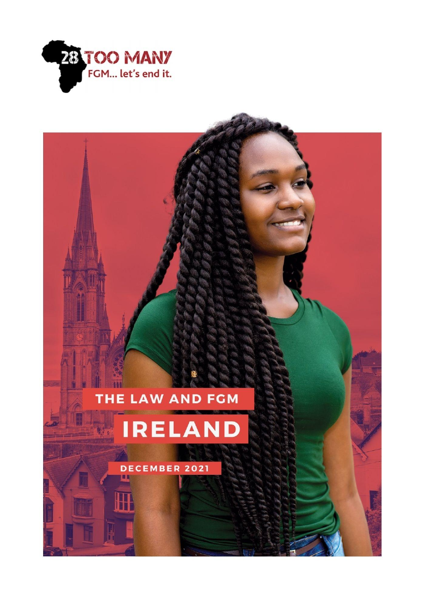

# THE LAW AND FGM

# **IRELAND**

DECEMBER 2021 p.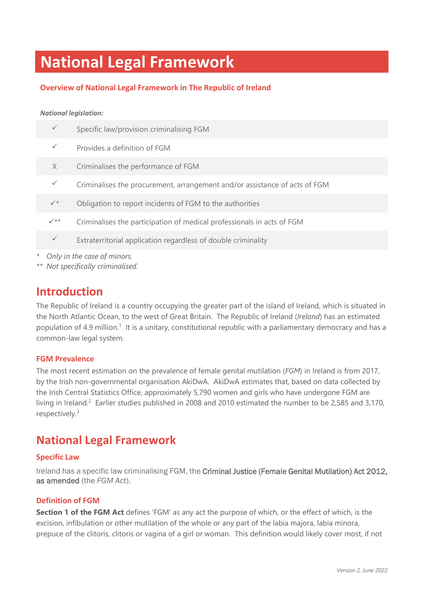# **National Legal Framework**

#### **Overview of National Legal Framework in The Republic of Ireland**

#### *National legislation:*

|         | $\checkmark$                | Specific law/provision criminalising FGM                                   |  |  |
|---------|-----------------------------|----------------------------------------------------------------------------|--|--|
|         | $\checkmark$                | Provides a definition of FGM                                               |  |  |
|         | $\times$                    | Criminalises the performance of FGM                                        |  |  |
|         | $\checkmark$                | Criminalises the procurement, arrangement and/or assistance of acts of FGM |  |  |
|         | $\checkmark$                | Obligation to report incidents of FGM to the authorities                   |  |  |
|         | $\checkmark$ **             | Criminalises the participation of medical professionals in acts of FGM     |  |  |
|         | $\checkmark$                | Extraterritorial application regardless of double criminality              |  |  |
| $\star$ | Only in the case of minors. |                                                                            |  |  |

*\*\* Not specifically criminalised.*

### **Introduction**

The Republic of Ireland is a country occupying the greater part of the island of Ireland, which is situated in the North Atlantic Ocean, to the west of Great Britain. The Republic of Ireland (*Ireland*) has an estimated population of 4.9 million.<sup>1</sup> It is a unitary, constitutional republic with a parliamentary democracy and has a common-law legal system.

#### **FGM Prevalence**

The most recent estimation on the prevalence of female genital mutilation (*FGM*) in Ireland is from 2017, by the Irish non-governmental organisation AkiDwA. AkiDwA estimates that, based on data collected by the Irish Central Statistics Office, approximately 5,790 women and girls who have undergone FGM are living in Ireland.<sup>2</sup> Earlier studies published in 2008 and 2010 estimated the number to be 2,585 and 3,170, respectively.<sup>3</sup>

### **National Legal Framework**

#### **Specific Law**

Ireland has a specific law criminalising FGM, the Criminal Justice (Female Genital Mutilation) Act 2012, as amended (the *FGM Act*).

#### **Definition of FGM**

**Section 1 of the FGM Act** defines 'FGM' as any act the purpose of which, or the effect of which, is the excision, infibulation or other mutilation of the whole or any part of the labia majora, labia minora, prepuce of the clitoris, clitoris or vagina of a girl or woman. This definition would likely cover most, if not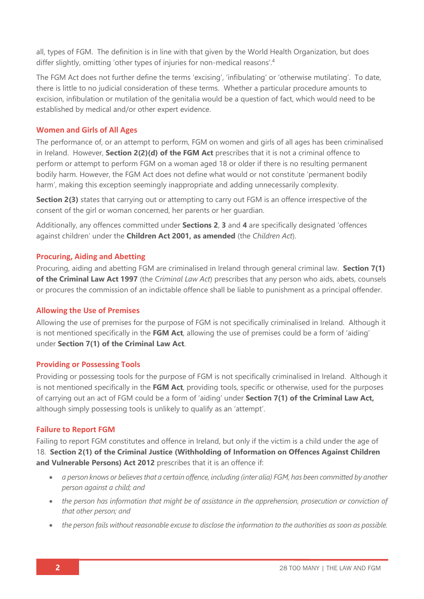all, types of FGM. The definition is in line with that given by the World Health Organization, but does differ slightly, omitting 'other types of injuries for non-medical reasons'. 4

The FGM Act does not further define the terms 'excising', 'infibulating' or 'otherwise mutilating'. To date, there is little to no judicial consideration of these terms. Whether a particular procedure amounts to excision, infibulation or mutilation of the genitalia would be a question of fact, which would need to be established by medical and/or other expert evidence.

#### **Women and Girls of All Ages**

The performance of, or an attempt to perform, FGM on women and girls of all ages has been criminalised in Ireland. However, **Section 2(2)(d) of the FGM Act** prescribes that it is not a criminal offence to perform or attempt to perform FGM on a woman aged 18 or older if there is no resulting permanent bodily harm. However, the FGM Act does not define what would or not constitute 'permanent bodily harm', making this exception seemingly inappropriate and adding unnecessarily complexity.

**Section 2(3)** states that carrying out or attempting to carry out FGM is an offence irrespective of the consent of the girl or woman concerned, her parents or her guardian.

Additionally, any offences committed under **Sections 2**, **3** and **4** are specifically designated 'offences against children' under the **Children Act 2001, as amended** (the *Children Act*).

#### **Procuring, Aiding and Abetting**

Procuring, aiding and abetting FGM are criminalised in Ireland through general criminal law. **Section 7(1) of the Criminal Law Act 1997** (the *Criminal Law Act*) prescribes that any person who aids, abets, counsels or procures the commission of an indictable offence shall be liable to punishment as a principal offender.

#### **Allowing the Use of Premises**

Allowing the use of premises for the purpose of FGM is not specifically criminalised in Ireland. Although it is not mentioned specifically in the **FGM Act**, allowing the use of premises could be a form of 'aiding' under **Section 7(1) of the Criminal Law Act**.

#### **Providing or Possessing Tools**

Providing or possessing tools for the purpose of FGM is not specifically criminalised in Ireland. Although it is not mentioned specifically in the **FGM Act**, providing tools, specific or otherwise, used for the purposes of carrying out an act of FGM could be a form of 'aiding' under **Section 7(1) of the Criminal Law Act,**  although simply possessing tools is unlikely to qualify as an 'attempt'.

#### **Failure to Report FGM**

Failing to report FGM constitutes and offence in Ireland, but only if the victim is a child under the age of 18. **Section 2(1) of the Criminal Justice (Withholding of Information on Offences Against Children and Vulnerable Persons) Act 2012** prescribes that it is an offence if:

- *a person knows or believes that a certain offence, including (inter alia) FGM, has been committed by another person against a child; and*
- *the person has information that might be of assistance in the apprehension, prosecution or conviction of that other person; and*
- *the person fails without reasonable excuse to disclose the information to the authorities as soon as possible.*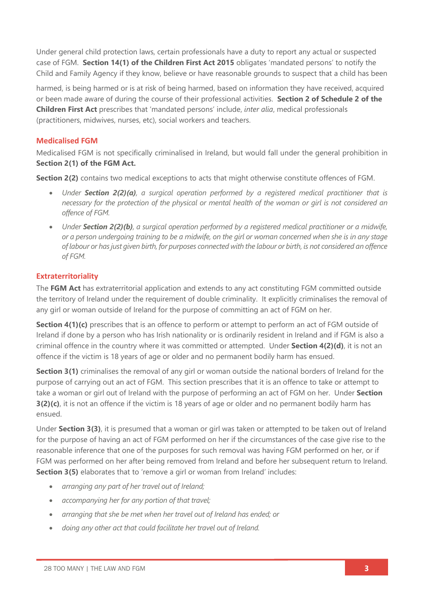Under general child protection laws, certain professionals have a duty to report any actual or suspected case of FGM. **Section 14(1) of the Children First Act 2015** obligates 'mandated persons' to notify the Child and Family Agency if they know, believe or have reasonable grounds to suspect that a child has been

harmed, is being harmed or is at risk of being harmed, based on information they have received, acquired or been made aware of during the course of their professional activities. **Section 2 of Schedule 2 of the Children First Act** prescribes that 'mandated persons' include, *inter alia*, medical professionals (practitioners, midwives, nurses, etc), social workers and teachers.

#### **Medicalised FGM**

Medicalised FGM is not specifically criminalised in Ireland, but would fall under the general prohibition in **Section 2(1) of the FGM Act.**

**Section 2(2)** contains two medical exceptions to acts that might otherwise constitute offences of FGM.

- *Under Section 2(2)(a), a surgical operation performed by a registered medical practitioner that is necessary for the protection of the physical or mental health of the woman or girl is not considered an offence of FGM.*
- *Under Section 2(2)(b), a surgical operation performed by a registered medical practitioner or a midwife, or a person undergoing training to be a midwife, on the girl or woman concerned when she is in any stage of labour or has just given birth, for purposes connected with the labour or birth, is not considered an offence of FGM.*

#### **Extraterritoriality**

The **FGM Act** has extraterritorial application and extends to any act constituting FGM committed outside the territory of Ireland under the requirement of double criminality. It explicitly criminalises the removal of any girl or woman outside of Ireland for the purpose of committing an act of FGM on her.

**Section 4(1)(c)** prescribes that is an offence to perform or attempt to perform an act of FGM outside of Ireland if done by a person who has Irish nationality or is ordinarily resident in Ireland and if FGM is also a criminal offence in the country where it was committed or attempted. Under **Section 4(2)(d)**, it is not an offence if the victim is 18 years of age or older and no permanent bodily harm has ensued.

**Section 3(1)** criminalises the removal of any girl or woman outside the national borders of Ireland for the purpose of carrying out an act of FGM. This section prescribes that it is an offence to take or attempt to take a woman or girl out of Ireland with the purpose of performing an act of FGM on her. Under **Section 3(2)(c)**, it is not an offence if the victim is 18 years of age or older and no permanent bodily harm has ensued.

Under **Section 3(3)**, it is presumed that a woman or girl was taken or attempted to be taken out of Ireland for the purpose of having an act of FGM performed on her if the circumstances of the case give rise to the reasonable inference that one of the purposes for such removal was having FGM performed on her, or if FGM was performed on her after being removed from Ireland and before her subsequent return to Ireland. **Section 3(5)** elaborates that to 'remove a girl or woman from Ireland' includes:

- *arranging any part of her travel out of Ireland;*
- *accompanying her for any portion of that travel;*
- *arranging that she be met when her travel out of Ireland has ended; or*
- *doing any other act that could facilitate her travel out of Ireland.*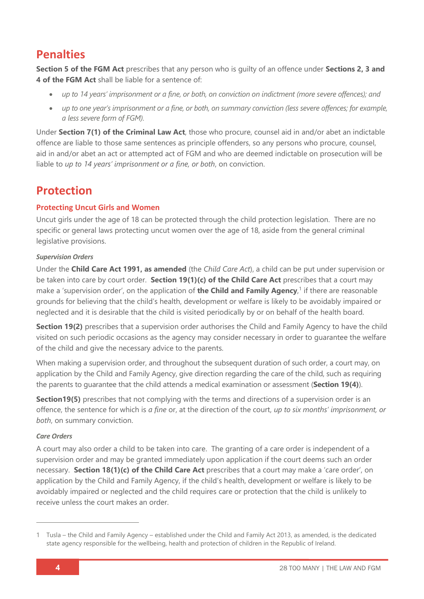### **Penalties**

**Section 5 of the FGM Act** prescribes that any person who is guilty of an offence under **Sections 2, 3 and 4 of the FGM Act** shall be liable for a sentence of:

- *up to 14 years' imprisonment or a fine, or both, on conviction on indictment (more severe offences); and*
- *up to one year's imprisonment or a fine, or both, on summary conviction (less severe offences; for example, a less severe form of FGM).*

Under **Section 7(1) of the Criminal Law Act**, those who procure, counsel aid in and/or abet an indictable offence are liable to those same sentences as principle offenders, so any persons who procure, counsel, aid in and/or abet an act or attempted act of FGM and who are deemed indictable on prosecution will be liable to *up to 14 years' imprisonment or a fine, or both*, on conviction.

# **Protection**

#### **Protecting Uncut Girls and Women**

Uncut girls under the age of 18 can be protected through the child protection legislation. There are no specific or general laws protecting uncut women over the age of 18, aside from the general criminal legislative provisions.

#### *Supervision Orders*

Under the **Child Care Act 1991, as amended** (the *Child Care Act*), a child can be put under supervision or be taken into care by court order. **Section 19(1)(c) of the Child Care Act** prescribes that a court may make a 'supervision order', on the application of **the Child and Family Agency**, 1 if there are reasonable grounds for believing that the child's health, development or welfare is likely to be avoidably impaired or neglected and it is desirable that the child is visited periodically by or on behalf of the health board.

**Section 19(2)** prescribes that a supervision order authorises the Child and Family Agency to have the child visited on such periodic occasions as the agency may consider necessary in order to guarantee the welfare of the child and give the necessary advice to the parents.

When making a supervision order, and throughout the subsequent duration of such order, a court may, on application by the Child and Family Agency, give direction regarding the care of the child, such as requiring the parents to guarantee that the child attends a medical examination or assessment (**Section 19(4)**).

**Section19(5)** prescribes that not complying with the terms and directions of a supervision order is an offence, the sentence for which is *a fine* or, at the direction of the court, *up to six months' imprisonment, or both*, on summary conviction.

#### *Care Orders*

A court may also order a child to be taken into care. The granting of a care order is independent of a supervision order and may be granted immediately upon application if the court deems such an order necessary. **Section 18(1)(c) of the Child Care Act** prescribes that a court may make a 'care order', on application by the Child and Family Agency, if the child's health, development or welfare is likely to be avoidably impaired or neglected and the child requires care or protection that the child is unlikely to receive unless the court makes an order.

<sup>1</sup> Tusla – the Child and Family Agency – established under the Child and Family Act 2013, as amended, is the dedicated state agency responsible for the wellbeing, health and protection of children in the Republic of Ireland.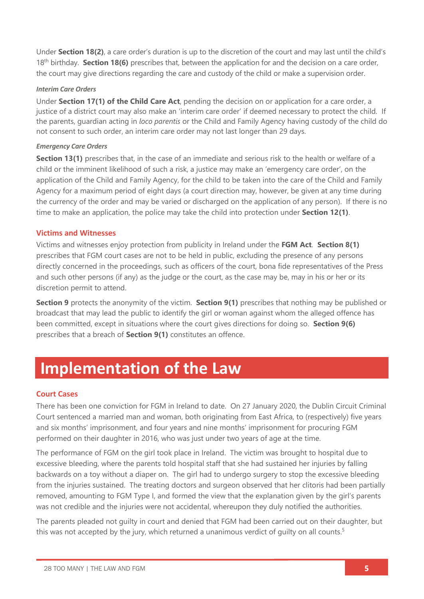Under **Section 18(2)**, a care order's duration is up to the discretion of the court and may last until the child's 18th birthday. **Section 18(6)** prescribes that, between the application for and the decision on a care order, the court may give directions regarding the care and custody of the child or make a supervision order.

#### *Interim Care Orders*

Under **Section 17(1) of the Child Care Act**, pending the decision on or application for a care order, a justice of a district court may also make an 'interim care order' if deemed necessary to protect the child. If the parents, guardian acting in *loco parentis* or the Child and Family Agency having custody of the child do not consent to such order, an interim care order may not last longer than 29 days.

#### *Emergency Care Orders*

**Section 13(1)** prescribes that, in the case of an immediate and serious risk to the health or welfare of a child or the imminent likelihood of such a risk, a justice may make an 'emergency care order', on the application of the Child and Family Agency, for the child to be taken into the care of the Child and Family Agency for a maximum period of eight days (a court direction may, however, be given at any time during the currency of the order and may be varied or discharged on the application of any person). If there is no time to make an application, the police may take the child into protection under **Section 12(1)**.

#### **Victims and Witnesses**

Victims and witnesses enjoy protection from publicity in Ireland under the **FGM Act**. **Section 8(1)** prescribes that FGM court cases are not to be held in public, excluding the presence of any persons directly concerned in the proceedings, such as officers of the court, bona fide representatives of the Press and such other persons (if any) as the judge or the court, as the case may be, may in his or her or its discretion permit to attend.

**Section 9** protects the anonymity of the victim. **Section 9(1)** prescribes that nothing may be published or broadcast that may lead the public to identify the girl or woman against whom the alleged offence has been committed, except in situations where the court gives directions for doing so. **Section 9(6)** prescribes that a breach of **Section 9(1)** constitutes an offence.

# **Implementation of the Law**

#### **Court Cases**

There has been one conviction for FGM in Ireland to date. On 27 January 2020, the Dublin Circuit Criminal Court sentenced a married man and woman, both originating from East Africa, to (respectively) five years and six months' imprisonment, and four years and nine months' imprisonment for procuring FGM performed on their daughter in 2016, who was just under two years of age at the time.

The performance of FGM on the girl took place in Ireland. The victim was brought to hospital due to excessive bleeding, where the parents told hospital staff that she had sustained her injuries by falling backwards on a toy without a diaper on. The girl had to undergo surgery to stop the excessive bleeding from the injuries sustained. The treating doctors and surgeon observed that her clitoris had been partially removed, amounting to FGM Type I, and formed the view that the explanation given by the girl's parents was not credible and the injuries were not accidental, whereupon they duly notified the authorities.

The parents pleaded not guilty in court and denied that FGM had been carried out on their daughter, but this was not accepted by the jury, which returned a unanimous verdict of quilty on all counts.<sup>5</sup>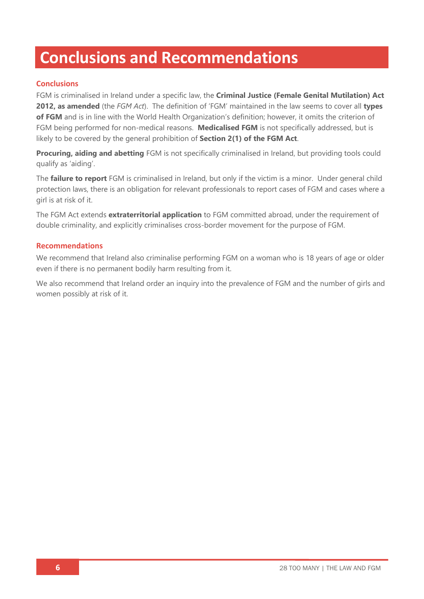# **Conclusions and Recommendations**

#### **Conclusions**

FGM is criminalised in Ireland under a specific law, the **Criminal Justice (Female Genital Mutilation) Act 2012, as amended** (the *FGM Act*). The definition of 'FGM' maintained in the law seems to cover all **types of FGM** and is in line with the World Health Organization's definition; however, it omits the criterion of FGM being performed for non-medical reasons. **Medicalised FGM** is not specifically addressed, but is likely to be covered by the general prohibition of **Section 2(1) of the FGM Act**.

**Procuring, aiding and abetting** FGM is not specifically criminalised in Ireland, but providing tools could qualify as 'aiding'.

The **failure to report** FGM is criminalised in Ireland, but only if the victim is a minor. Under general child protection laws, there is an obligation for relevant professionals to report cases of FGM and cases where a girl is at risk of it.

The FGM Act extends **extraterritorial application** to FGM committed abroad, under the requirement of double criminality, and explicitly criminalises cross-border movement for the purpose of FGM.

#### **Recommendations**

We recommend that Ireland also criminalise performing FGM on a woman who is 18 years of age or older even if there is no permanent bodily harm resulting from it.

We also recommend that Ireland order an inquiry into the prevalence of FGM and the number of girls and women possibly at risk of it.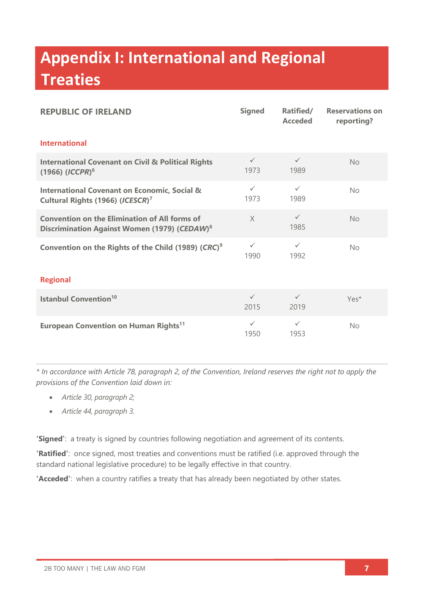# **Appendix I: International and Regional Treaties**

| <b>REPUBLIC OF IRELAND</b>                                                                                       | <b>Signed</b>        | Ratified/<br><b>Acceded</b> | <b>Reservations on</b><br>reporting? |  |  |
|------------------------------------------------------------------------------------------------------------------|----------------------|-----------------------------|--------------------------------------|--|--|
| <b>International</b>                                                                                             |                      |                             |                                      |  |  |
| <b>International Covenant on Civil &amp; Political Rights</b><br>$(1966)$ $(ICCPR)^6$                            | $\checkmark$<br>1973 | $\checkmark$<br>1989        | No                                   |  |  |
| <b>International Covenant on Economic, Social &amp;</b><br>Cultural Rights (1966) (ICESCR) <sup>7</sup>          | $\checkmark$<br>1973 | $\checkmark$<br>1989        | No                                   |  |  |
| <b>Convention on the Elimination of All forms of</b><br>Discrimination Against Women (1979) (CEDAW) <sup>8</sup> | $\chi$               | $\checkmark$<br>1985        | No                                   |  |  |
| Convention on the Rights of the Child (1989) (CRC) <sup>9</sup>                                                  | $\checkmark$<br>1990 | $\checkmark$<br>1992        | No                                   |  |  |
| <b>Regional</b>                                                                                                  |                      |                             |                                      |  |  |
| <b>Istanbul Convention<sup>10</sup></b>                                                                          | $\checkmark$<br>2015 | $\checkmark$<br>2019        | Yes*                                 |  |  |
| <b>European Convention on Human Rights<sup>11</sup></b>                                                          | $\checkmark$<br>1950 | $\checkmark$<br>1953        | No                                   |  |  |

*\* In accordance with Article 78, paragraph 2, of the Convention, Ireland reserves the right not to apply the provisions of the Convention laid down in:*

- *Article 30, paragraph 2;*
- *Article 44, paragraph 3.*

**'Signed'**: a treaty is signed by countries following negotiation and agreement of its contents.

**'Ratified'**: once signed, most treaties and conventions must be ratified (i.e. approved through the standard national legislative procedure) to be legally effective in that country.

**'Acceded'**: when a country ratifies a treaty that has already been negotiated by other states.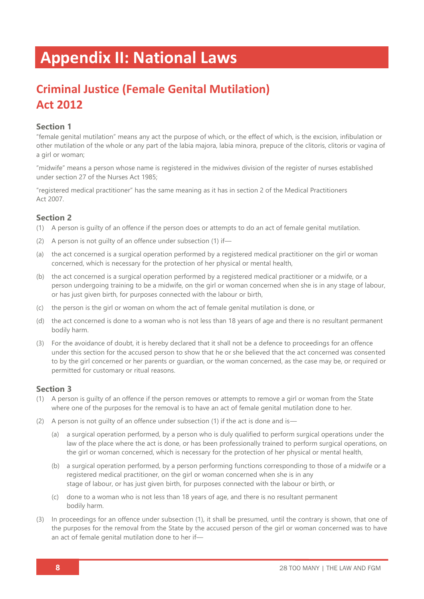# **Appendix II: National Laws**

# **Criminal Justice (Female Genital Mutilation) Act 2012**

#### **Section 1**

"female genital mutilation" means any act the purpose of which, or the effect of which, is the excision, infibulation or other mutilation of the whole or any part of the labia majora, labia minora, prepuce of the clitoris, clitoris or vagina of a girl or woman;

"midwife" means a person whose name is registered in the midwives division of the register of nurses established under section 27 of the Nurses Act 1985;

"registered medical practitioner" has the same meaning as it has in section 2 of the Medical Practitioners Act 2007.

#### **Section 2**

- (1) A person is guilty of an offence if the person does or attempts to do an act of female genital mutilation.
- (2) A person is not guilty of an offence under subsection (1) if—
- (a) the act concerned is a surgical operation performed by a registered medical practitioner on the girl or woman concerned, which is necessary for the protection of her physical or mental health,
- (b) the act concerned is a surgical operation performed by a registered medical practitioner or a midwife, or a person undergoing training to be a midwife, on the girl or woman concerned when she is in any stage of labour, or has just given birth, for purposes connected with the labour or birth,
- (c) the person is the girl or woman on whom the act of female genital mutilation is done, or
- (d) the act concerned is done to a woman who is not less than 18 years of age and there is no resultant permanent bodily harm.
- (3) For the avoidance of doubt, it is hereby declared that it shall not be a defence to proceedings for an offence under this section for the accused person to show that he or she believed that the act concerned was consented to by the girl concerned or her parents or guardian, or the woman concerned, as the case may be, or required or permitted for customary or ritual reasons.

- (1) A person is guilty of an offence if the person removes or attempts to remove a girl or woman from the State where one of the purposes for the removal is to have an act of female genital mutilation done to her.
- (2) A person is not guilty of an offence under subsection (1) if the act is done and is—
	- (a) a surgical operation performed, by a person who is duly qualified to perform surgical operations under the law of the place where the act is done, or has been professionally trained to perform surgical operations, on the girl or woman concerned, which is necessary for the protection of her physical or mental health,
	- (b) a surgical operation performed, by a person performing functions corresponding to those of a midwife or a registered medical practitioner, on the girl or woman concerned when she is in any stage of labour, or has just given birth, for purposes connected with the labour or birth, or
	- (c) done to a woman who is not less than 18 years of age, and there is no resultant permanent bodily harm.
- (3) In proceedings for an offence under subsection (1), it shall be presumed, until the contrary is shown, that one of the purposes for the removal from the State by the accused person of the girl or woman concerned was to have an act of female genital mutilation done to her if—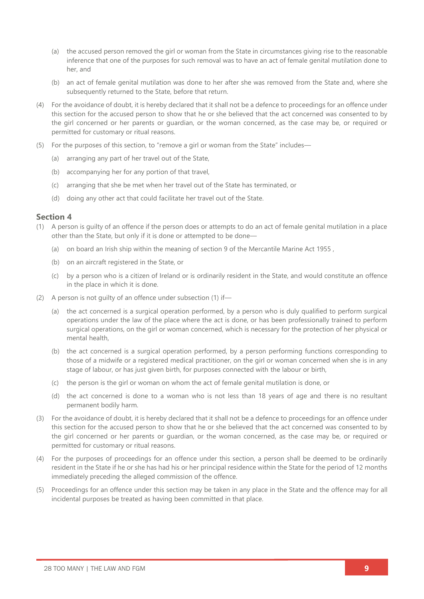- (a) the accused person removed the girl or woman from the State in circumstances giving rise to the reasonable inference that one of the purposes for such removal was to have an act of female genital mutilation done to her, and
- (b) an act of female genital mutilation was done to her after she was removed from the State and, where she subsequently returned to the State, before that return.
- (4) For the avoidance of doubt, it is hereby declared that it shall not be a defence to proceedings for an offence under this section for the accused person to show that he or she believed that the act concerned was consented to by the girl concerned or her parents or guardian, or the woman concerned, as the case may be, or required or permitted for customary or ritual reasons.
- (5) For the purposes of this section, to "remove a girl or woman from the State" includes—
	- (a) arranging any part of her travel out of the State,
	- (b) accompanying her for any portion of that travel,
	- (c) arranging that she be met when her travel out of the State has terminated, or
	- (d) doing any other act that could facilitate her travel out of the State.

- (1) A person is guilty of an offence if the person does or attempts to do an act of female genital mutilation in a place other than the State, but only if it is done or attempted to be done—
	- (a) on board an Irish ship within the meaning of section 9 of the Mercantile Marine Act 1955 ,
	- (b) on an aircraft registered in the State, or
	- (c) by a person who is a citizen of Ireland or is ordinarily resident in the State, and would constitute an offence in the place in which it is done.
- (2) A person is not guilty of an offence under subsection (1) if—
	- (a) the act concerned is a surgical operation performed, by a person who is duly qualified to perform surgical operations under the law of the place where the act is done, or has been professionally trained to perform surgical operations, on the girl or woman concerned, which is necessary for the protection of her physical or mental health,
	- (b) the act concerned is a surgical operation performed, by a person performing functions corresponding to those of a midwife or a registered medical practitioner, on the girl or woman concerned when she is in any stage of labour, or has just given birth, for purposes connected with the labour or birth,
	- (c) the person is the girl or woman on whom the act of female genital mutilation is done, or
	- (d) the act concerned is done to a woman who is not less than 18 years of age and there is no resultant permanent bodily harm.
- (3) For the avoidance of doubt, it is hereby declared that it shall not be a defence to proceedings for an offence under this section for the accused person to show that he or she believed that the act concerned was consented to by the girl concerned or her parents or guardian, or the woman concerned, as the case may be, or required or permitted for customary or ritual reasons.
- (4) For the purposes of proceedings for an offence under this section, a person shall be deemed to be ordinarily resident in the State if he or she has had his or her principal residence within the State for the period of 12 months immediately preceding the alleged commission of the offence.
- (5) Proceedings for an offence under this section may be taken in any place in the State and the offence may for all incidental purposes be treated as having been committed in that place.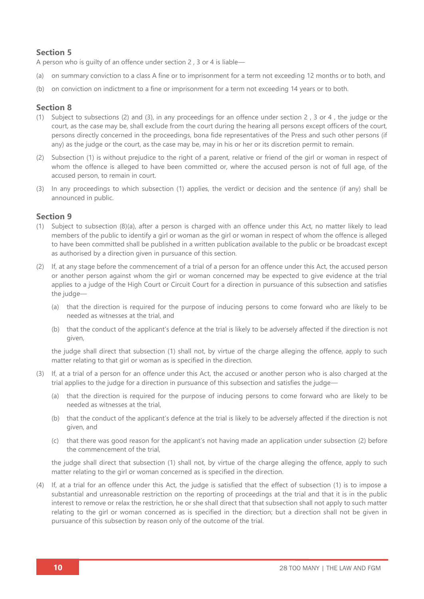#### **Section 5**

A person who is guilty of an offence under section 2 , 3 or 4 is liable—

- (a) on summary conviction to a class A fine or to imprisonment for a term not exceeding 12 months or to both, and
- (b) on conviction on indictment to a fine or imprisonment for a term not exceeding 14 years or to both.

#### **Section 8**

- (1) Subject to subsections (2) and (3), in any proceedings for an offence under section 2 , 3 or 4 , the judge or the court, as the case may be, shall exclude from the court during the hearing all persons except officers of the court, persons directly concerned in the proceedings, bona fide representatives of the Press and such other persons (if any) as the judge or the court, as the case may be, may in his or her or its discretion permit to remain.
- (2) Subsection (1) is without prejudice to the right of a parent, relative or friend of the girl or woman in respect of whom the offence is alleged to have been committed or, where the accused person is not of full age, of the accused person, to remain in court.
- (3) In any proceedings to which subsection (1) applies, the verdict or decision and the sentence (if any) shall be announced in public.

#### **Section 9**

- (1) Subject to subsection (8)(a), after a person is charged with an offence under this Act, no matter likely to lead members of the public to identify a girl or woman as the girl or woman in respect of whom the offence is alleged to have been committed shall be published in a written publication available to the public or be broadcast except as authorised by a direction given in pursuance of this section.
- (2) If, at any stage before the commencement of a trial of a person for an offence under this Act, the accused person or another person against whom the girl or woman concerned may be expected to give evidence at the trial applies to a judge of the High Court or Circuit Court for a direction in pursuance of this subsection and satisfies the judge—
	- (a) that the direction is required for the purpose of inducing persons to come forward who are likely to be needed as witnesses at the trial, and
	- (b) that the conduct of the applicant's defence at the trial is likely to be adversely affected if the direction is not given,

the judge shall direct that subsection (1) shall not, by virtue of the charge alleging the offence, apply to such matter relating to that girl or woman as is specified in the direction.

- (3) If, at a trial of a person for an offence under this Act, the accused or another person who is also charged at the trial applies to the judge for a direction in pursuance of this subsection and satisfies the judge—
	- (a) that the direction is required for the purpose of inducing persons to come forward who are likely to be needed as witnesses at the trial,
	- (b) that the conduct of the applicant's defence at the trial is likely to be adversely affected if the direction is not given, and
	- (c) that there was good reason for the applicant's not having made an application under subsection (2) before the commencement of the trial,

the judge shall direct that subsection (1) shall not, by virtue of the charge alleging the offence, apply to such matter relating to the girl or woman concerned as is specified in the direction.

(4) If, at a trial for an offence under this Act, the judge is satisfied that the effect of subsection (1) is to impose a substantial and unreasonable restriction on the reporting of proceedings at the trial and that it is in the public interest to remove or relax the restriction, he or she shall direct that that subsection shall not apply to such matter relating to the girl or woman concerned as is specified in the direction; but a direction shall not be given in pursuance of this subsection by reason only of the outcome of the trial.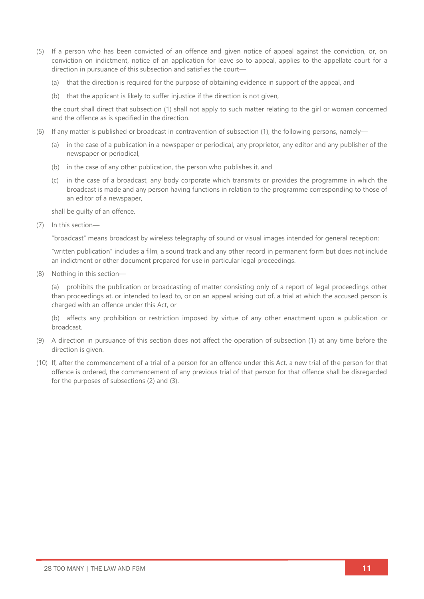- (5) If a person who has been convicted of an offence and given notice of appeal against the conviction, or, on conviction on indictment, notice of an application for leave so to appeal, applies to the appellate court for a direction in pursuance of this subsection and satisfies the court—
	- (a) that the direction is required for the purpose of obtaining evidence in support of the appeal, and
	- (b) that the applicant is likely to suffer injustice if the direction is not given,

the court shall direct that subsection (1) shall not apply to such matter relating to the girl or woman concerned and the offence as is specified in the direction.

- (6) If any matter is published or broadcast in contravention of subsection (1), the following persons, namely—
	- (a) in the case of a publication in a newspaper or periodical, any proprietor, any editor and any publisher of the newspaper or periodical,
	- (b) in the case of any other publication, the person who publishes it, and
	- (c) in the case of a broadcast, any body corporate which transmits or provides the programme in which the broadcast is made and any person having functions in relation to the programme corresponding to those of an editor of a newspaper,

shall be guilty of an offence.

(7) In this section—

"broadcast" means broadcast by wireless telegraphy of sound or visual images intended for general reception;

"written publication" includes a film, a sound track and any other record in permanent form but does not include an indictment or other document prepared for use in particular legal proceedings.

(8) Nothing in this section—

(a) prohibits the publication or broadcasting of matter consisting only of a report of legal proceedings other than proceedings at, or intended to lead to, or on an appeal arising out of, a trial at which the accused person is charged with an offence under this Act, or

(b) affects any prohibition or restriction imposed by virtue of any other enactment upon a publication or broadcast.

- (9) A direction in pursuance of this section does not affect the operation of subsection (1) at any time before the direction is given.
- (10) If, after the commencement of a trial of a person for an offence under this Act, a new trial of the person for that offence is ordered, the commencement of any previous trial of that person for that offence shall be disregarded for the purposes of subsections (2) and (3).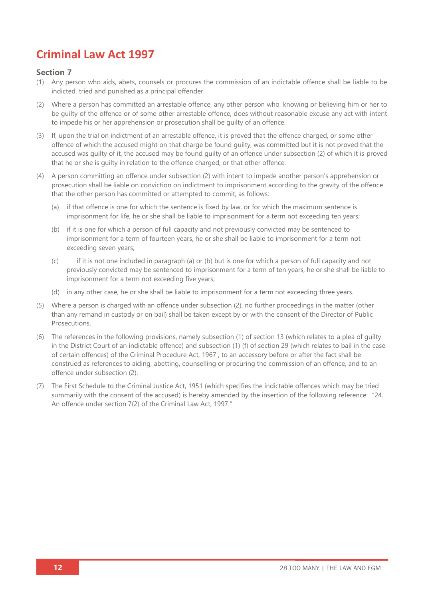# **Criminal Law Act 1997**

- (1) Any person who aids, abets, counsels or procures the commission of an indictable offence shall be liable to be indicted, tried and punished as a principal offender.
- (2) Where a person has committed an arrestable offence, any other person who, knowing or believing him or her to be guilty of the offence or of some other arrestable offence, does without reasonable excuse any act with intent to impede his or her apprehension or prosecution shall be guilty of an offence.
- (3) If, upon the trial on indictment of an arrestable offence, it is proved that the offence charged, or some other offence of which the accused might on that charge be found guilty, was committed but it is not proved that the accused was guilty of it, the accused may be found guilty of an offence under subsection (2) of which it is proved that he or she is guilty in relation to the offence charged, or that other offence.
- (4) A person committing an offence under subsection (2) with intent to impede another person's apprehension or prosecution shall be liable on conviction on indictment to imprisonment according to the gravity of the offence that the other person has committed or attempted to commit, as follows:
	- (a) if that offence is one for which the sentence is fixed by law, or for which the maximum sentence is imprisonment for life, he or she shall be liable to imprisonment for a term not exceeding ten years;
	- (b) if it is one for which a person of full capacity and not previously convicted may be sentenced to imprisonment for a term of fourteen years, he or she shall be liable to imprisonment for a term not exceeding seven years;
	- (c) if it is not one included in paragraph (a) or (b) but is one for which a person of full capacity and not previously convicted may be sentenced to imprisonment for a term of ten years, he or she shall be liable to imprisonment for a term not exceeding five years;
	- (d) in any other case, he or she shall be liable to imprisonment for a term not exceeding three years.
- (5) Where a person is charged with an offence under subsection (2), no further proceedings in the matter (other than any remand in custody or on bail) shall be taken except by or with the consent of the Director of Public Prosecutions.
- (6) The references in the following provisions, namely subsection (1) of section 13 (which relates to a plea of guilty in the District Court of an indictable offence) and subsection (1) (f) of section 29 (which relates to bail in the case of certain offences) of the Criminal Procedure Act, 1967 , to an accessory before or after the fact shall be construed as references to aiding, abetting, counselling or procuring the commission of an offence, and to an offence under subsection (2).
- (7) The First Schedule to the Criminal Justice Act, 1951 (which specifies the indictable offences which may be tried summarily with the consent of the accused) is hereby amended by the insertion of the following reference: "24. An offence under section 7(2) of the Criminal Law Act, 1997."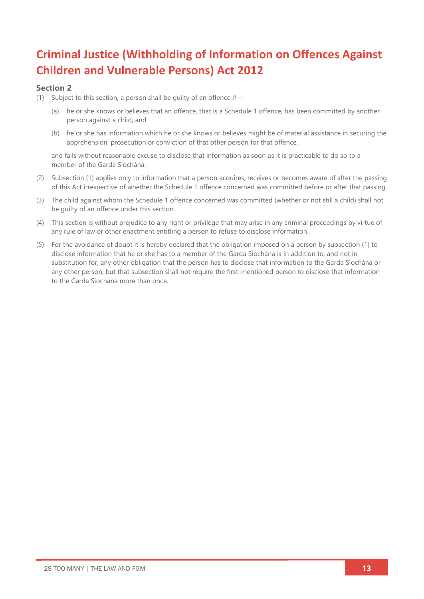# **Criminal Justice (Withholding of Information on Offences Against Children and Vulnerable Persons) Act 2012**

#### **Section 2**

- (1) Subject to this section, a person shall be guilty of an offence if—
	- (a) he or she knows or believes that an offence, that is a Schedule 1 offence, has been committed by another person against a child, and
	- (b) he or she has information which he or she knows or believes might be of material assistance in securing the apprehension, prosecution or conviction of that other person for that offence,

and fails without reasonable excuse to disclose that information as soon as it is practicable to do so to a member of the Garda Síochána.

- (2) Subsection (1) applies only to information that a person acquires, receives or becomes aware of after the passing of this Act irrespective of whether the Schedule 1 offence concerned was committed before or after that passing.
- (3) The child against whom the Schedule 1 offence concerned was committed (whether or not still a child) shall not be guilty of an offence under this section.
- (4) This section is without prejudice to any right or privilege that may arise in any criminal proceedings by virtue of any rule of law or other enactment entitling a person to refuse to disclose information.
- (5) For the avoidance of doubt it is hereby declared that the obligation imposed on a person by subsection (1) to disclose information that he or she has to a member of the Garda Síochána is in addition to, and not in substitution for, any other obligation that the person has to disclose that information to the Garda Síochána or any other person, but that subsection shall not require the first-mentioned person to disclose that information to the Garda Síochána more than once.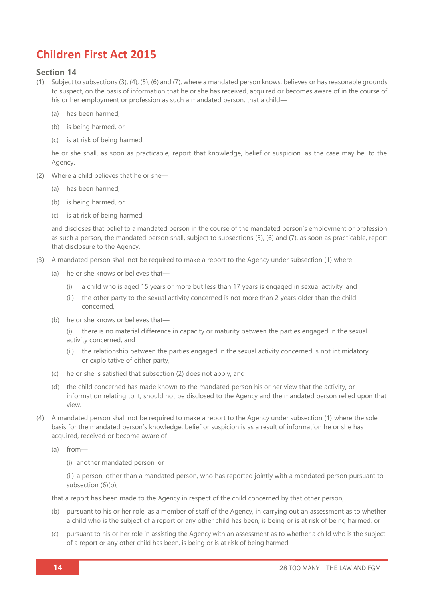### **Children First Act 2015**

#### **Section 14**

- (1) Subject to subsections (3), (4), (5), (6) and (7), where a mandated person knows, believes or has reasonable grounds to suspect, on the basis of information that he or she has received, acquired or becomes aware of in the course of his or her employment or profession as such a mandated person, that a child—
	- (a) has been harmed,
	- (b) is being harmed, or
	- (c) is at risk of being harmed,

he or she shall, as soon as practicable, report that knowledge, belief or suspicion, as the case may be, to the Agency.

- (2) Where a child believes that he or she—
	- (a) has been harmed,
	- (b) is being harmed, or
	- (c) is at risk of being harmed,

and discloses that belief to a mandated person in the course of the mandated person's employment or profession as such a person, the mandated person shall, subject to subsections (5), (6) and (7), as soon as practicable, report that disclosure to the Agency.

- (3) A mandated person shall not be required to make a report to the Agency under subsection (1) where—
	- (a) he or she knows or believes that—
		- (i) a child who is aged 15 years or more but less than 17 years is engaged in sexual activity, and
		- (ii) the other party to the sexual activity concerned is not more than 2 years older than the child concerned,
	- (b) he or she knows or believes that—

(i) there is no material difference in capacity or maturity between the parties engaged in the sexual activity concerned, and

- (ii) the relationship between the parties engaged in the sexual activity concerned is not intimidatory or exploitative of either party,
- (c) he or she is satisfied that subsection (2) does not apply, and
- (d) the child concerned has made known to the mandated person his or her view that the activity, or information relating to it, should not be disclosed to the Agency and the mandated person relied upon that view.
- (4) A mandated person shall not be required to make a report to the Agency under subsection (1) where the sole basis for the mandated person's knowledge, belief or suspicion is as a result of information he or she has acquired, received or become aware of—
	- (a) from—
		- (i) another mandated person, or

(ii) a person, other than a mandated person, who has reported jointly with a mandated person pursuant to subsection (6)(b),

that a report has been made to the Agency in respect of the child concerned by that other person,

- (b) pursuant to his or her role, as a member of staff of the Agency, in carrying out an assessment as to whether a child who is the subject of a report or any other child has been, is being or is at risk of being harmed, or
- (c) pursuant to his or her role in assisting the Agency with an assessment as to whether a child who is the subject of a report or any other child has been, is being or is at risk of being harmed.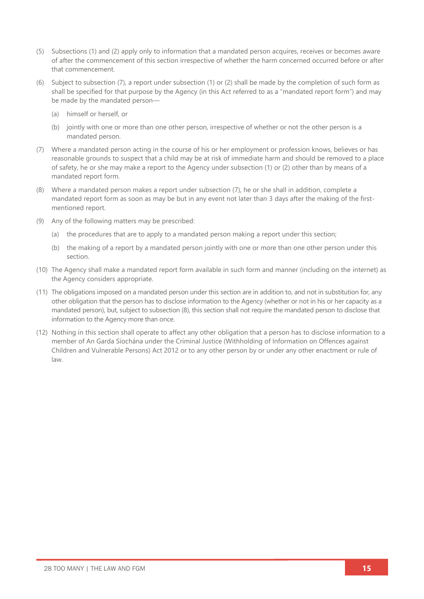- (5) Subsections (1) and (2) apply only to information that a mandated person acquires, receives or becomes aware of after the commencement of this section irrespective of whether the harm concerned occurred before or after that commencement.
- (6) Subject to subsection (7), a report under subsection (1) or (2) shall be made by the completion of such form as shall be specified for that purpose by the Agency (in this Act referred to as a "mandated report form") and may be made by the mandated person—
	- (a) himself or herself, or
	- (b) jointly with one or more than one other person, irrespective of whether or not the other person is a mandated person.
- (7) Where a mandated person acting in the course of his or her employment or profession knows, believes or has reasonable grounds to suspect that a child may be at risk of immediate harm and should be removed to a place of safety, he or she may make a report to the Agency under subsection (1) or (2) other than by means of a mandated report form.
- (8) Where a mandated person makes a report under subsection (7), he or she shall in addition, complete a mandated report form as soon as may be but in any event not later than 3 days after the making of the firstmentioned report.
- (9) Any of the following matters may be prescribed:
	- (a) the procedures that are to apply to a mandated person making a report under this section;
	- (b) the making of a report by a mandated person jointly with one or more than one other person under this section.
- (10) The Agency shall make a mandated report form available in such form and manner (including on the internet) as the Agency considers appropriate.
- (11) The obligations imposed on a mandated person under this section are in addition to, and not in substitution for, any other obligation that the person has to disclose information to the Agency (whether or not in his or her capacity as a mandated person), but, subject to subsection (8), this section shall not require the mandated person to disclose that information to the Agency more than once.
- (12) Nothing in this section shall operate to affect any other obligation that a person has to disclose information to a member of An Garda Síochána under the Criminal Justice (Withholding of Information on Offences against Children and Vulnerable Persons) Act 2012 or to any other person by or under any other enactment or rule of law.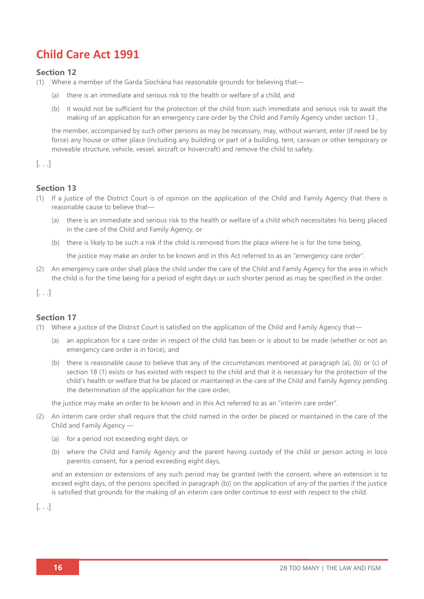# **Child Care Act 1991**

#### **Section 12**

- (1) Where a member of the Garda Síochána has reasonable grounds for believing that—
	- (a) there is an immediate and serious risk to the health or welfare of a child, and
	- (b) it would not be sufficient for the protection of the child from such immediate and serious risk to await the making of an application for an emergency care order by the Child and Family Agency under section 13 ,

the member, accompanied by such other persons as may be necessary, may, without warrant, enter (if need be by force) any house or other place (including any building or part of a building, tent, caravan or other temporary or moveable structure, vehicle, vessel, aircraft or hovercraft) and remove the child to safety.

[. . .]

#### **Section 13**

- (1) If a justice of the District Court is of opinion on the application of the Child and Family Agency that there is reasonable cause to believe that—
	- (a) there is an immediate and serious risk to the health or welfare of a child which necessitates his being placed in the care of the Child and Family Agency, or
	- (b) there is likely to be such a risk if the child is removed from the place where he is for the time being,

the justice may make an order to be known and in this Act referred to as an "emergency care order".

(2) An emergency care order shall place the child under the care of the Child and Family Agency for the area in which the child is for the time being for a period of eight days or such shorter period as may be specified in the order.

 $\left[ \ldots \right]$ 

#### **Section 17**

- (1) Where a justice of the District Court is satisfied on the application of the Child and Family Agency that—
	- (a) an application for a care order in respect of the child has been or is about to be made (whether or not an emergency care order is in force), and
	- (b) there is reasonable cause to believe that any of the circumstances mentioned at paragraph (a), (b) or (c) of section 18 (1) exists or has existed with respect to the child and that it is necessary for the protection of the child's health or welfare that he be placed or maintained in the care of the Child and Family Agency pending the determination of the application for the care order,

the justice may make an order to be known and in this Act referred to as an "interim care order".

- (2) An interim care order shall require that the child named in the order be placed or maintained in the care of the Child and Family Agency —
	- (a) for a period not exceeding eight days, or
	- (b) where the Child and Family Agency and the parent having custody of the child or person acting in loco parentis consent, for a period exceeding eight days,

and an extension or extensions of any such period may be granted (with the consent, where an extension is to exceed eight days, of the persons specified in paragraph (b)) on the application of any of the parties if the justice is satisfied that grounds for the making of an interim care order continue to exist with respect to the child.

 $\left[ \ldots \right]$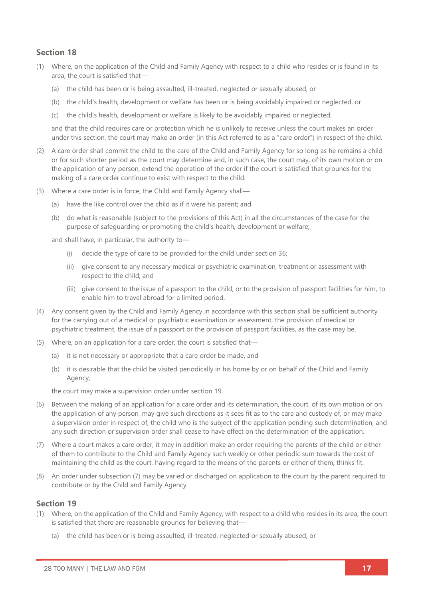#### **Section 18**

- (1) Where, on the application of the Child and Family Agency with respect to a child who resides or is found in its area, the court is satisfied that—
	- (a) the child has been or is being assaulted, ill-treated, neglected or sexually abused, or
	- (b) the child's health, development or welfare has been or is being avoidably impaired or neglected, or
	- (c) the child's health, development or welfare is likely to be avoidably impaired or neglected,

and that the child requires care or protection which he is unlikely to receive unless the court makes an order under this section, the court may make an order (in this Act referred to as a "care order") in respect of the child.

- (2) A care order shall commit the child to the care of the Child and Family Agency for so long as he remains a child or for such shorter period as the court may determine and, in such case, the court may, of its own motion or on the application of any person, extend the operation of the order if the court is satisfied that grounds for the making of a care order continue to exist with respect to the child.
- (3) Where a care order is in force, the Child and Family Agency shall—
	- (a) have the like control over the child as if it were his parent; and
	- (b) do what is reasonable (subject to the provisions of this Act) in all the circumstances of the case for the purpose of safeguarding or promoting the child's health, development or welfare;

and shall have, in particular, the authority to—

- (i) decide the type of care to be provided for the child under section 36;
- (ii) give consent to any necessary medical or psychiatric examination, treatment or assessment with respect to the child; and
- (iii) give consent to the issue of a passport to the child, or to the provision of passport facilities for him, to enable him to travel abroad for a limited period.
- (4) Any consent given by the Child and Family Agency in accordance with this section shall be sufficient authority for the carrying out of a medical or psychiatric examination or assessment, the provision of medical or psychiatric treatment, the issue of a passport or the provision of passport facilities, as the case may be.
- (5) Where, on an application for a care order, the court is satisfied that—
	- (a) it is not necessary or appropriate that a care order be made, and
	- (b) it is desirable that the child be visited periodically in his home by or on behalf of the Child and Family Agency,

the court may make a supervision order under section 19.

- (6) Between the making of an application for a care order and its determination, the court, of its own motion or on the application of any person, may give such directions as it sees fit as to the care and custody of, or may make a supervision order in respect of, the child who is the subject of the application pending such determination, and any such direction or supervision order shall cease to have effect on the determination of the application.
- (7) Where a court makes a care order, it may in addition make an order requiring the parents of the child or either of them to contribute to the Child and Family Agency such weekly or other periodic sum towards the cost of maintaining the child as the court, having regard to the means of the parents or either of them, thinks fit.
- (8) An order under subsection (7) may be varied or discharged on application to the court by the parent required to contribute or by the Child and Family Agency.

- (1) Where, on the application of the Child and Family Agency, with respect to a child who resides in its area, the court is satisfied that there are reasonable grounds for believing that—
	- (a) the child has been or is being assaulted, ill-treated, neglected or sexually abused, or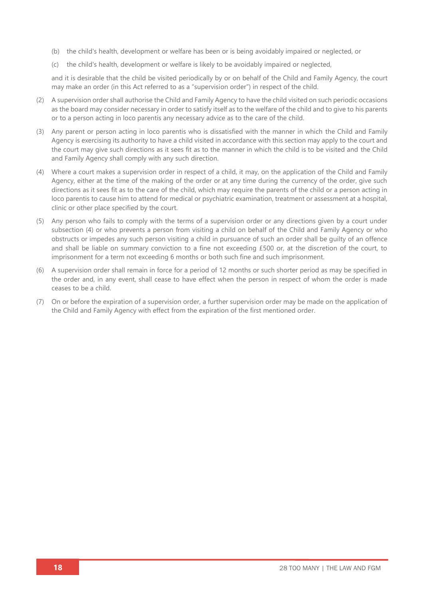- (b) the child's health, development or welfare has been or is being avoidably impaired or neglected, or
- (c) the child's health, development or welfare is likely to be avoidably impaired or neglected,

and it is desirable that the child be visited periodically by or on behalf of the Child and Family Agency, the court may make an order (in this Act referred to as a "supervision order") in respect of the child.

- (2) A supervision order shall authorise the Child and Family Agency to have the child visited on such periodic occasions as the board may consider necessary in order to satisfy itself as to the welfare of the child and to give to his parents or to a person acting in loco parentis any necessary advice as to the care of the child.
- (3) Any parent or person acting in loco parentis who is dissatisfied with the manner in which the Child and Family Agency is exercising its authority to have a child visited in accordance with this section may apply to the court and the court may give such directions as it sees fit as to the manner in which the child is to be visited and the Child and Family Agency shall comply with any such direction.
- (4) Where a court makes a supervision order in respect of a child, it may, on the application of the Child and Family Agency, either at the time of the making of the order or at any time during the currency of the order, give such directions as it sees fit as to the care of the child, which may require the parents of the child or a person acting in loco parentis to cause him to attend for medical or psychiatric examination, treatment or assessment at a hospital, clinic or other place specified by the court.
- (5) Any person who fails to comply with the terms of a supervision order or any directions given by a court under subsection (4) or who prevents a person from visiting a child on behalf of the Child and Family Agency or who obstructs or impedes any such person visiting a child in pursuance of such an order shall be guilty of an offence and shall be liable on summary conviction to a fine not exceeding £500 or, at the discretion of the court, to imprisonment for a term not exceeding 6 months or both such fine and such imprisonment.
- (6) A supervision order shall remain in force for a period of 12 months or such shorter period as may be specified in the order and, in any event, shall cease to have effect when the person in respect of whom the order is made ceases to be a child.
- (7) On or before the expiration of a supervision order, a further supervision order may be made on the application of the Child and Family Agency with effect from the expiration of the first mentioned order.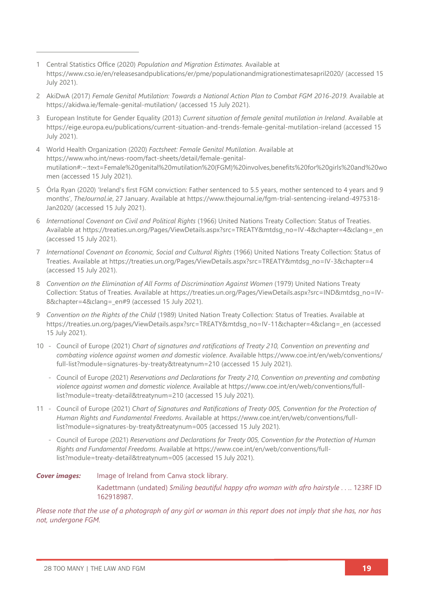- 1 Central Statistics Office (2020) *Population and Migration Estimates.* Available at <https://www.cso.ie/en/releasesandpublications/er/pme/populationandmigrationestimatesapril2020/> (accessed 15 July 2021).
- 2 AkiDwA (2017) *Female Genital Mutilation: Towards a National Action Plan to Combat FGM 2016-2019*. Available at <https://akidwa.ie/female-genital-mutilation/> (accessed 15 July 2021).
- 3 European Institute for Gender Equality (2013) *Current situation of female genital mutilation in Ireland*. Available at <https://eige.europa.eu/publications/current-situation-and-trends-female-genital-mutilation-ireland> (accessed 15 July 2021).
- 4 World Health Organization (2020) *Factsheet: Female Genital Mutilation*. Available at [https://www.who.int/news-room/fact-sheets/detail/female-genital](https://www.who.int/news-room/fact-sheets/detail/female-genital-mutilation#:~:text=Female%20genital%20mutilation%20(FGM)%20involves,benefits%20for%20girls%20and%20women)[mutilation#:~:text=Female%20genital%20mutilation%20\(FGM\)%20involves,benefits%20for%20girls%20and%20wo](https://www.who.int/news-room/fact-sheets/detail/female-genital-mutilation#:~:text=Female%20genital%20mutilation%20(FGM)%20involves,benefits%20for%20girls%20and%20women) [men](https://www.who.int/news-room/fact-sheets/detail/female-genital-mutilation#:~:text=Female%20genital%20mutilation%20(FGM)%20involves,benefits%20for%20girls%20and%20women) (accessed 15 July 2021).
- 5 Órla Ryan (2020) 'Ireland's first FGM conviction: Father sentenced to 5.5 years, mother sentenced to 4 years and 9 months', *TheJournal.ie*, 27 January. Available at [https://www.thejournal.ie/fgm-trial-sentencing-ireland-4975318-](https://www.thejournal.ie/fgm-trial-sentencing-ireland-4975318-Jan2020/) [Jan2020/](https://www.thejournal.ie/fgm-trial-sentencing-ireland-4975318-Jan2020/) (accessed 15 July 2021).
- 6 *International Covenant on Civil and Political Rights* (1966) United Nations Treaty Collection: Status of Treaties*.* Available at [https://treaties.un.org/Pages/ViewDetails.aspx?src=TREATY&mtdsg\\_no=IV-4&chapter=4&clang=\\_en](https://treaties.un.org/Pages/ViewDetails.aspx?src=TREATY&mtdsg_no=IV-4&chapter=4&clang=_en) (accessed 15 July 2021).
- 7 *International Covenant on Economic, Social and Cultural Rights* (1966) United Nations Treaty Collection: Status of Treaties. Available at [https://treaties.un.org/Pages/ViewDetails.aspx?src=TREATY&mtdsg\\_no=IV-3&chapter=4](https://treaties.un.org/Pages/ViewDetails.aspx?src=TREATY&mtdsg_no=IV-3&chapter=4) (accessed 15 July 2021).
- 8 Convention on the Elimination of All Forms of Discrimination Against Women (1979) United Nations Treaty Collection: Status of Treaties. Available at [https://treaties.un.org/Pages/ViewDetails.aspx?src=IND&mtdsg\\_no=IV-](https://treaties.un.org/Pages/ViewDetails.aspx?src=IND&mtdsg_no=IV-8&chapter=4&clang=_en#9)[8&chapter=4&clang=\\_en#9](https://treaties.un.org/Pages/ViewDetails.aspx?src=IND&mtdsg_no=IV-8&chapter=4&clang=_en#9) (accessed 15 July 2021).
- 9 *Convention on the Rights of the Child* (1989) United Nation Treaty Collection: Status of Treaties. Available at [https://treaties.un.org/pages/ViewDetails.aspx?src=TREATY&mtdsg\\_no=IV-11&chapter=4&clang=\\_en](https://treaties.un.org/pages/ViewDetails.aspx?src=TREATY&mtdsg_no=IV-11&chapter=4&clang=_en) (accessed 15 July 2021).
- 10 Council of Europe (2021) *Chart of signatures and ratifications of Treaty 210, Convention on preventing and combating violence against women and domestic violence*. Available [https://www.coe.int/en/web/conventions/](https://www.coe.int/en/web/conventions/%0bfull-list?module=signatures-by-treaty&treatynum=210) [full-list?module=signatures-by-treaty&treatynum=210](https://www.coe.int/en/web/conventions/%0bfull-list?module=signatures-by-treaty&treatynum=210) (accessed 15 July 2021).
	- Council of Europe (2021) *Reservations and Declarations for Treaty 210, Convention on preventing and combating violence against women and domestic violence*. Available at [https://www.coe.int/en/web/conventions/full](https://www.coe.int/en/web/conventions/full-list?module=treaty-detail&treatynum=210)[list?module=treaty-detail&treatynum=210](https://www.coe.int/en/web/conventions/full-list?module=treaty-detail&treatynum=210) (accessed 15 July 2021).
- 11 Council of Europe (2021) *Chart of Signatures and Ratifications of Treaty 005, Convention for the Protection of Human Rights and Fundamental Freedoms*. Available at [https://www.coe.int/en/web/conventions/full](https://www.coe.int/en/web/conventions/full-list?module=signatures-by-treaty&treatynum=005)[list?module=signatures-by-treaty&treatynum=005](https://www.coe.int/en/web/conventions/full-list?module=signatures-by-treaty&treatynum=005) (accessed 15 July 2021).
	- Council of Europe (2021) *Reservations and Declarations for Treaty 005, Convention for the Protection of Human Rights and Fundamental Freedoms*. Available at [https://www.coe.int/en/web/conventions/full](https://www.coe.int/en/web/conventions/full-list?module=treaty-detail&treatynum=005)[list?module=treaty-detail&treatynum=005](https://www.coe.int/en/web/conventions/full-list?module=treaty-detail&treatynum=005) (accessed 15 July 2021).

*Cover images:* Image of Ireland from Canva stock library. Kadettmann (undated) *Smiling beautiful happy afro woman with afro hairstyle . . .*. 123RF ID 162918987.

*Please note that the use of a photograph of any girl or woman in this report does not imply that she has, nor has not, undergone FGM.*